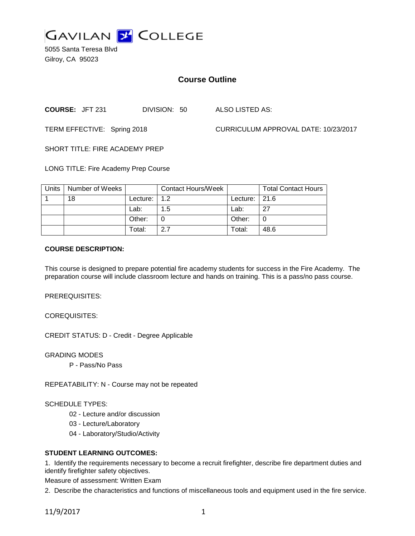

5055 Santa Teresa Blvd Gilroy, CA 95023

# **Course Outline**

**COURSE:** JFT 231 DIVISION: 50 ALSO LISTED AS:

TERM EFFECTIVE: Spring 2018 CURRICULUM APPROVAL DATE: 10/23/2017

SHORT TITLE: FIRE ACADEMY PREP

LONG TITLE: Fire Academy Prep Course

| <b>Units</b> | Number of Weeks |                      | <b>Contact Hours/Week</b> |                  | <b>Total Contact Hours</b> |
|--------------|-----------------|----------------------|---------------------------|------------------|----------------------------|
|              | 18              | Lecture: $\vert$ 1.2 |                           | Lecture: $ 21.6$ |                            |
|              |                 | Lab:                 | 1.5                       | Lab:             | 27                         |
|              |                 | Other:               |                           | Other:           |                            |
|              |                 | Total:               | 2.7                       | Total:           | 48.6                       |

#### **COURSE DESCRIPTION:**

This course is designed to prepare potential fire academy students for success in the Fire Academy. The preparation course will include classroom lecture and hands on training. This is a pass/no pass course.

PREREQUISITES:

COREQUISITES:

CREDIT STATUS: D - Credit - Degree Applicable

GRADING MODES

P - Pass/No Pass

REPEATABILITY: N - Course may not be repeated

SCHEDULE TYPES:

02 - Lecture and/or discussion

- 03 Lecture/Laboratory
- 04 Laboratory/Studio/Activity

#### **STUDENT LEARNING OUTCOMES:**

1. Identify the requirements necessary to become a recruit firefighter, describe fire department duties and identify firefighter safety objectives.

Measure of assessment: Written Exam

2. Describe the characteristics and functions of miscellaneous tools and equipment used in the fire service.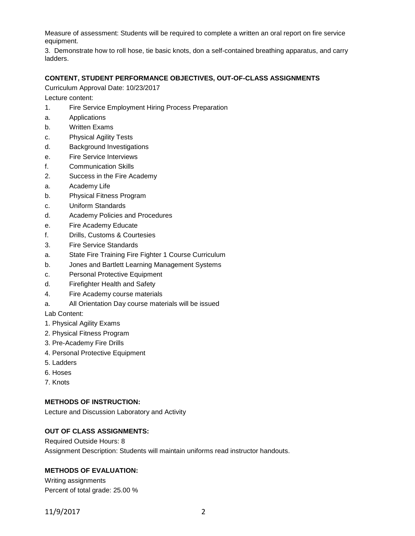Measure of assessment: Students will be required to complete a written an oral report on fire service equipment.

3. Demonstrate how to roll hose, tie basic knots, don a self-contained breathing apparatus, and carry ladders.

#### **CONTENT, STUDENT PERFORMANCE OBJECTIVES, OUT-OF-CLASS ASSIGNMENTS**

Curriculum Approval Date: 10/23/2017

Lecture content:

- 1. Fire Service Employment Hiring Process Preparation
- a. Applications
- b. Written Exams
- c. Physical Agility Tests
- d. Background Investigations
- e. Fire Service Interviews
- f. Communication Skills
- 2. Success in the Fire Academy
- a. Academy Life
- b. Physical Fitness Program
- c. Uniform Standards
- d. Academy Policies and Procedures
- e. Fire Academy Educate
- f. Drills, Customs & Courtesies
- 3. Fire Service Standards
- a. State Fire Training Fire Fighter 1 Course Curriculum
- b. Jones and Bartlett Learning Management Systems
- c. Personal Protective Equipment
- d. Firefighter Health and Safety
- 4. Fire Academy course materials
- a. All Orientation Day course materials will be issued

Lab Content:

- 1. Physical Agility Exams
- 2. Physical Fitness Program
- 3. Pre-Academy Fire Drills
- 4. Personal Protective Equipment
- 5. Ladders
- 6. Hoses
- 7. Knots

#### **METHODS OF INSTRUCTION:**

Lecture and Discussion Laboratory and Activity

## **OUT OF CLASS ASSIGNMENTS:**

Required Outside Hours: 8 Assignment Description: Students will maintain uniforms read instructor handouts.

# **METHODS OF EVALUATION:**

Writing assignments Percent of total grade: 25.00 %

11/9/2017 2